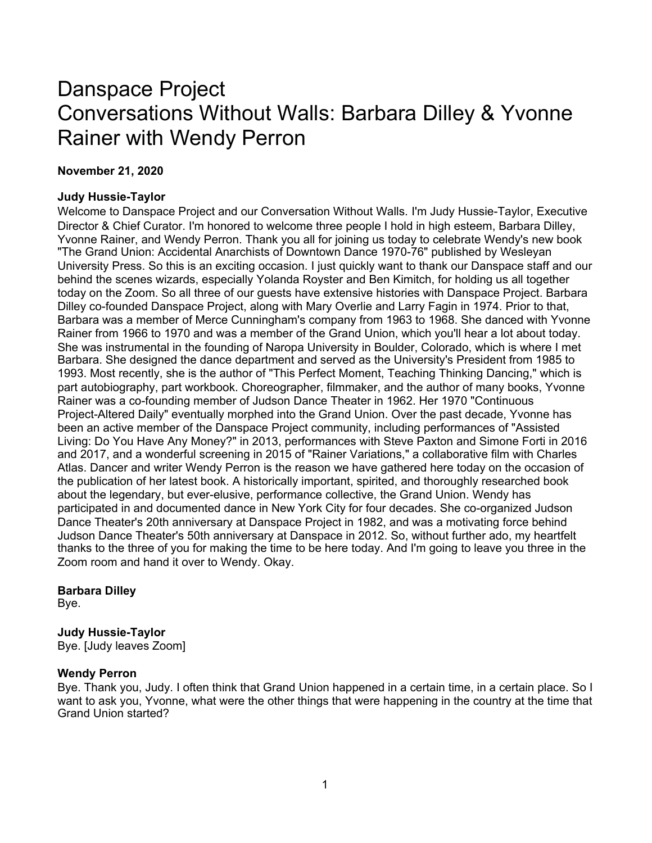# Danspace Project Conversations Without Walls: Barbara Dilley & Yvonne Rainer with Wendy Perron

## **November 21, 2020**

## **Judy Hussie-Taylor**

Welcome to Danspace Project and our Conversation Without Walls. I'm Judy Hussie-Taylor, Executive Director & Chief Curator. I'm honored to welcome three people I hold in high esteem, Barbara Dilley, Yvonne Rainer, and Wendy Perron. Thank you all for joining us today to celebrate Wendy's new book "The Grand Union: Accidental Anarchists of Downtown Dance 1970-76" published by Wesleyan University Press. So this is an exciting occasion. I just quickly want to thank our Danspace staff and our behind the scenes wizards, especially Yolanda Royster and Ben Kimitch, for holding us all together today on the Zoom. So all three of our guests have extensive histories with Danspace Project. Barbara Dilley co-founded Danspace Project, along with Mary Overlie and Larry Fagin in 1974. Prior to that, Barbara was a member of Merce Cunningham's company from 1963 to 1968. She danced with Yvonne Rainer from 1966 to 1970 and was a member of the Grand Union, which you'll hear a lot about today. She was instrumental in the founding of Naropa University in Boulder, Colorado, which is where I met Barbara. She designed the dance department and served as the University's President from 1985 to 1993. Most recently, she is the author of "This Perfect Moment, Teaching Thinking Dancing," which is part autobiography, part workbook. Choreographer, filmmaker, and the author of many books, Yvonne Rainer was a co-founding member of Judson Dance Theater in 1962. Her 1970 "Continuous Project-Altered Daily" eventually morphed into the Grand Union. Over the past decade, Yvonne has been an active member of the Danspace Project community, including performances of "Assisted Living: Do You Have Any Money?" in 2013, performances with Steve Paxton and Simone Forti in 2016 and 2017, and a wonderful screening in 2015 of "Rainer Variations," a collaborative film with Charles Atlas. Dancer and writer Wendy Perron is the reason we have gathered here today on the occasion of the publication of her latest book. A historically important, spirited, and thoroughly researched book about the legendary, but ever-elusive, performance collective, the Grand Union. Wendy has participated in and documented dance in New York City for four decades. She co-organized Judson Dance Theater's 20th anniversary at Danspace Project in 1982, and was a motivating force behind Judson Dance Theater's 50th anniversary at Danspace in 2012. So, without further ado, my heartfelt thanks to the three of you for making the time to be here today. And I'm going to leave you three in the Zoom room and hand it over to Wendy. Okay.

## **Barbara Dilley**

Bye.

## **Judy Hussie-Taylor**

Bye. [Judy leaves Zoom]

## **Wendy Perron**

Bye. Thank you, Judy. I often think that Grand Union happened in a certain time, in a certain place. So I want to ask you, Yvonne, what were the other things that were happening in the country at the time that Grand Union started?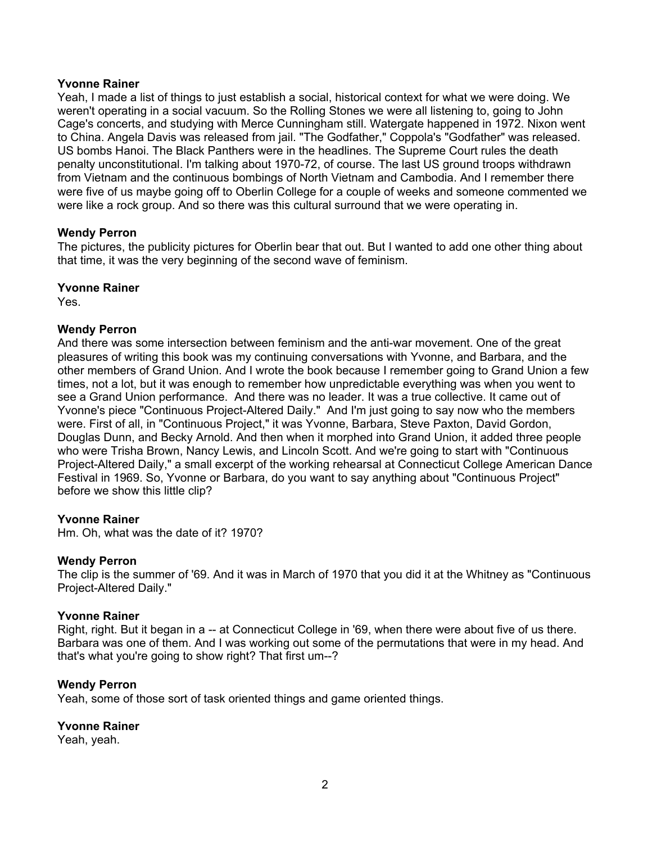Yeah, I made a list of things to just establish a social, historical context for what we were doing. We weren't operating in a social vacuum. So the Rolling Stones we were all listening to, going to John Cage's concerts, and studying with Merce Cunningham still. Watergate happened in 1972. Nixon went to China. Angela Davis was released from jail. "The Godfather," Coppola's "Godfather" was released. US bombs Hanoi. The Black Panthers were in the headlines. The Supreme Court rules the death penalty unconstitutional. I'm talking about 1970-72, of course. The last US ground troops withdrawn from Vietnam and the continuous bombings of North Vietnam and Cambodia. And I remember there were five of us maybe going off to Oberlin College for a couple of weeks and someone commented we were like a rock group. And so there was this cultural surround that we were operating in.

## **Wendy Perron**

The pictures, the publicity pictures for Oberlin bear that out. But I wanted to add one other thing about that time, it was the very beginning of the second wave of feminism.

## **Yvonne Rainer**

Yes.

## **Wendy Perron**

And there was some intersection between feminism and the anti-war movement. One of the great pleasures of writing this book was my continuing conversations with Yvonne, and Barbara, and the other members of Grand Union. And I wrote the book because I remember going to Grand Union a few times, not a lot, but it was enough to remember how unpredictable everything was when you went to see a Grand Union performance. And there was no leader. It was a true collective. It came out of Yvonne's piece "Continuous Project-Altered Daily." And I'm just going to say now who the members were. First of all, in "Continuous Project," it was Yvonne, Barbara, Steve Paxton, David Gordon, Douglas Dunn, and Becky Arnold. And then when it morphed into Grand Union, it added three people who were Trisha Brown, Nancy Lewis, and Lincoln Scott. And we're going to start with "Continuous Project-Altered Daily," a small excerpt of the working rehearsal at Connecticut College American Dance Festival in 1969. So, Yvonne or Barbara, do you want to say anything about "Continuous Project" before we show this little clip?

## **Yvonne Rainer**

Hm. Oh, what was the date of it? 1970?

## **Wendy Perron**

The clip is the summer of '69. And it was in March of 1970 that you did it at the Whitney as "Continuous Project-Altered Daily."

## **Yvonne Rainer**

Right, right. But it began in a -- at Connecticut College in '69, when there were about five of us there. Barbara was one of them. And I was working out some of the permutations that were in my head. And that's what you're going to show right? That first um--?

## **Wendy Perron**

Yeah, some of those sort of task oriented things and game oriented things.

## **Yvonne Rainer**

Yeah, yeah.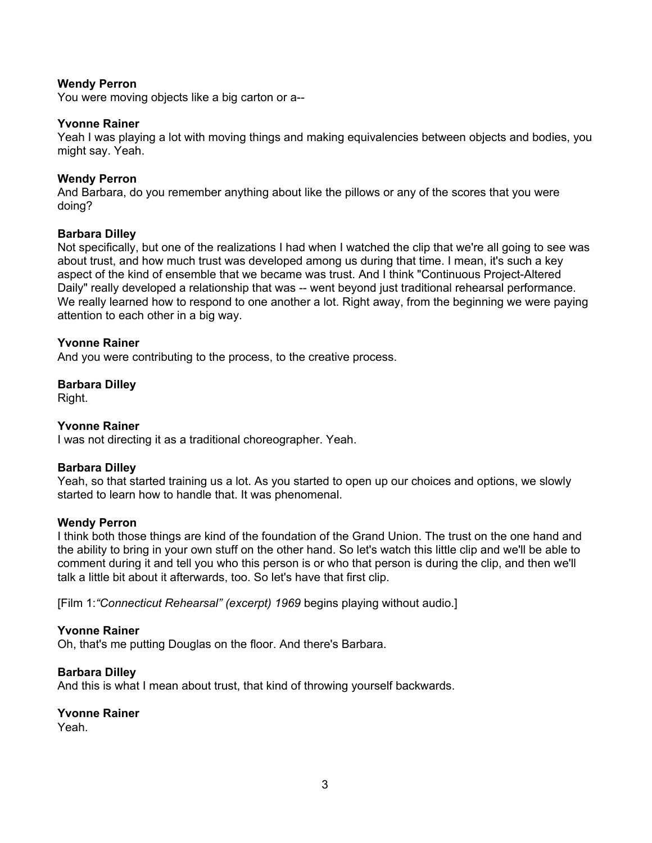You were moving objects like a big carton or a--

## **Yvonne Rainer**

Yeah I was playing a lot with moving things and making equivalencies between objects and bodies, you might say. Yeah.

## **Wendy Perron**

And Barbara, do you remember anything about like the pillows or any of the scores that you were doing?

## **Barbara Dilley**

Not specifically, but one of the realizations I had when I watched the clip that we're all going to see was about trust, and how much trust was developed among us during that time. I mean, it's such a key aspect of the kind of ensemble that we became was trust. And I think "Continuous Project-Altered Daily" really developed a relationship that was -- went beyond just traditional rehearsal performance. We really learned how to respond to one another a lot. Right away, from the beginning we were paying attention to each other in a big way.

## **Yvonne Rainer**

And you were contributing to the process, to the creative process.

## **Barbara Dilley**

Right.

## **Yvonne Rainer**

I was not directing it as a traditional choreographer. Yeah.

## **Barbara Dilley**

Yeah, so that started training us a lot. As you started to open up our choices and options, we slowly started to learn how to handle that. It was phenomenal.

## **Wendy Perron**

I think both those things are kind of the foundation of the Grand Union. The trust on the one hand and the ability to bring in your own stuff on the other hand. So let's watch this little clip and we'll be able to comment during it and tell you who this person is or who that person is during the clip, and then we'll talk a little bit about it afterwards, too. So let's have that first clip.

[Film 1:*"Connecticut Rehearsal" (excerpt) 1969* begins playing without audio.]

## **Yvonne Rainer**

Oh, that's me putting Douglas on the floor. And there's Barbara.

## **Barbara Dilley**

And this is what I mean about trust, that kind of throwing yourself backwards.

## **Yvonne Rainer**

Yeah.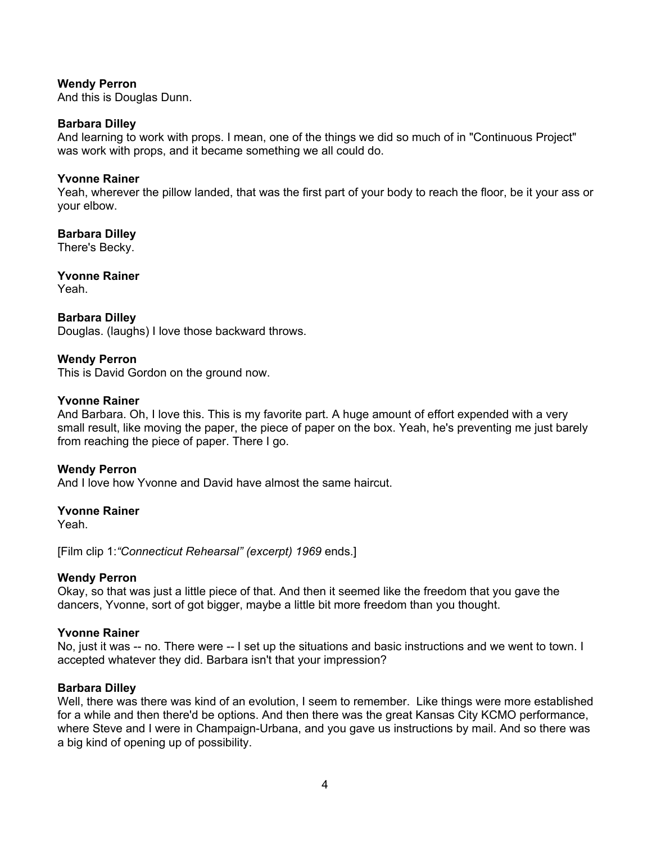And this is Douglas Dunn.

#### **Barbara Dilley**

And learning to work with props. I mean, one of the things we did so much of in "Continuous Project" was work with props, and it became something we all could do.

#### **Yvonne Rainer**

Yeah, wherever the pillow landed, that was the first part of your body to reach the floor, be it your ass or your elbow.

## **Barbara Dilley**

There's Becky.

**Yvonne Rainer** Yeah.

## **Barbara Dilley**

Douglas. (laughs) I love those backward throws.

## **Wendy Perron**

This is David Gordon on the ground now.

## **Yvonne Rainer**

And Barbara. Oh, I love this. This is my favorite part. A huge amount of effort expended with a very small result, like moving the paper, the piece of paper on the box. Yeah, he's preventing me just barely from reaching the piece of paper. There I go.

## **Wendy Perron**

And I love how Yvonne and David have almost the same haircut.

## **Yvonne Rainer**

Yeah.

[Film clip 1:*"Connecticut Rehearsal" (excerpt) 1969* ends.]

## **Wendy Perron**

Okay, so that was just a little piece of that. And then it seemed like the freedom that you gave the dancers, Yvonne, sort of got bigger, maybe a little bit more freedom than you thought.

## **Yvonne Rainer**

No, just it was -- no. There were -- I set up the situations and basic instructions and we went to town. I accepted whatever they did. Barbara isn't that your impression?

## **Barbara Dilley**

Well, there was there was kind of an evolution, I seem to remember. Like things were more established for a while and then there'd be options. And then there was the great Kansas City KCMO performance, where Steve and I were in Champaign-Urbana, and you gave us instructions by mail. And so there was a big kind of opening up of possibility.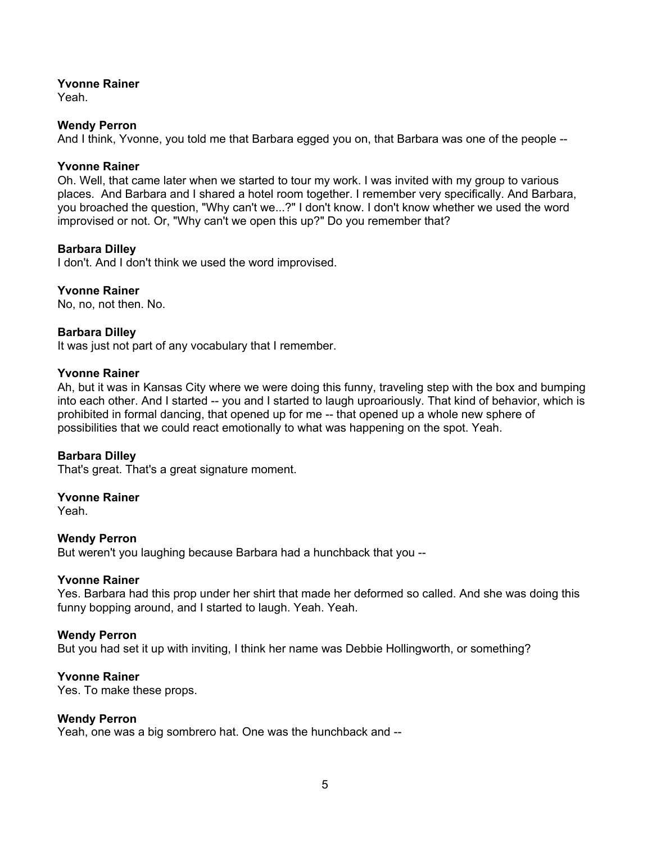Yeah.

## **Wendy Perron**

And I think, Yvonne, you told me that Barbara egged you on, that Barbara was one of the people --

## **Yvonne Rainer**

Oh. Well, that came later when we started to tour my work. I was invited with my group to various places. And Barbara and I shared a hotel room together. I remember very specifically. And Barbara, you broached the question, "Why can't we...?" I don't know. I don't know whether we used the word improvised or not. Or, "Why can't we open this up?" Do you remember that?

## **Barbara Dilley**

I don't. And I don't think we used the word improvised.

## **Yvonne Rainer**

No, no, not then. No.

## **Barbara Dilley**

It was just not part of any vocabulary that I remember.

## **Yvonne Rainer**

Ah, but it was in Kansas City where we were doing this funny, traveling step with the box and bumping into each other. And I started -- you and I started to laugh uproariously. That kind of behavior, which is prohibited in formal dancing, that opened up for me -- that opened up a whole new sphere of possibilities that we could react emotionally to what was happening on the spot. Yeah.

## **Barbara Dilley**

That's great. That's a great signature moment.

## **Yvonne Rainer**

Yeah.

## **Wendy Perron**

But weren't you laughing because Barbara had a hunchback that you --

## **Yvonne Rainer**

Yes. Barbara had this prop under her shirt that made her deformed so called. And she was doing this funny bopping around, and I started to laugh. Yeah. Yeah.

## **Wendy Perron**

But you had set it up with inviting, I think her name was Debbie Hollingworth, or something?

## **Yvonne Rainer**

Yes. To make these props.

## **Wendy Perron**

Yeah, one was a big sombrero hat. One was the hunchback and --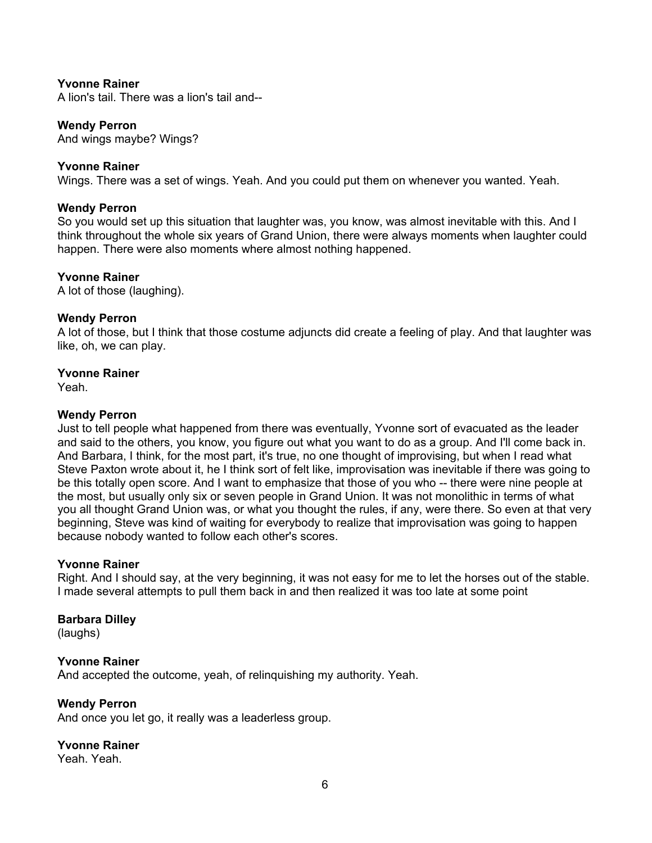A lion's tail. There was a lion's tail and--

## **Wendy Perron**

And wings maybe? Wings?

## **Yvonne Rainer**

Wings. There was a set of wings. Yeah. And you could put them on whenever you wanted. Yeah.

## **Wendy Perron**

So you would set up this situation that laughter was, you know, was almost inevitable with this. And I think throughout the whole six years of Grand Union, there were always moments when laughter could happen. There were also moments where almost nothing happened.

## **Yvonne Rainer**

A lot of those (laughing).

#### **Wendy Perron**

A lot of those, but I think that those costume adjuncts did create a feeling of play. And that laughter was like, oh, we can play.

#### **Yvonne Rainer**

Yeah.

## **Wendy Perron**

Just to tell people what happened from there was eventually, Yvonne sort of evacuated as the leader and said to the others, you know, you figure out what you want to do as a group. And I'll come back in. And Barbara, I think, for the most part, it's true, no one thought of improvising, but when I read what Steve Paxton wrote about it, he I think sort of felt like, improvisation was inevitable if there was going to be this totally open score. And I want to emphasize that those of you who -- there were nine people at the most, but usually only six or seven people in Grand Union. It was not monolithic in terms of what you all thought Grand Union was, or what you thought the rules, if any, were there. So even at that very beginning, Steve was kind of waiting for everybody to realize that improvisation was going to happen because nobody wanted to follow each other's scores.

#### **Yvonne Rainer**

Right. And I should say, at the very beginning, it was not easy for me to let the horses out of the stable. I made several attempts to pull them back in and then realized it was too late at some point

## **Barbara Dilley**

(laughs)

#### **Yvonne Rainer**

And accepted the outcome, yeah, of relinquishing my authority. Yeah.

## **Wendy Perron**

And once you let go, it really was a leaderless group.

## **Yvonne Rainer**

Yeah. Yeah.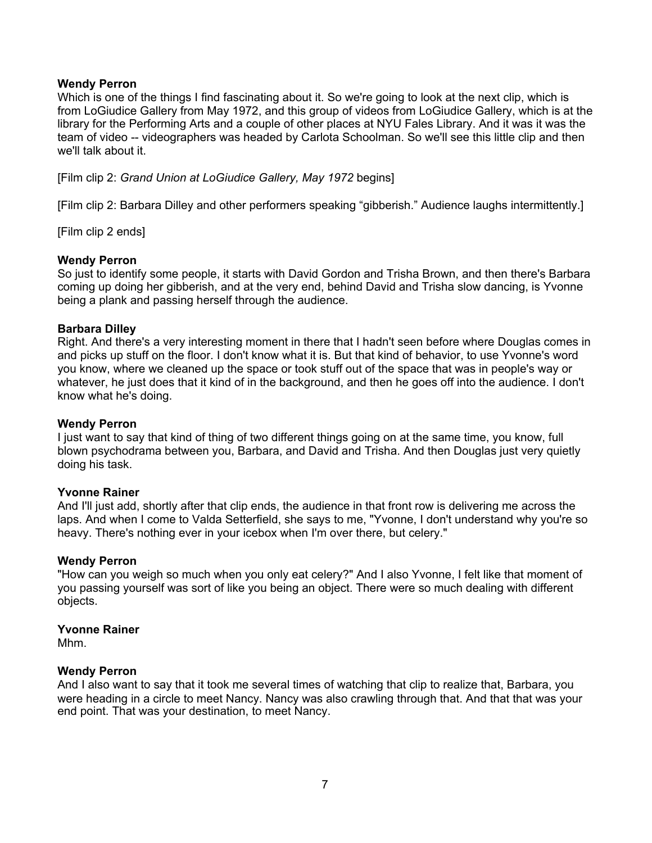Which is one of the things I find fascinating about it. So we're going to look at the next clip, which is from LoGiudice Gallery from May 1972, and this group of videos from LoGiudice Gallery, which is at the library for the Performing Arts and a couple of other places at NYU Fales Library. And it was it was the team of video -- videographers was headed by Carlota Schoolman. So we'll see this little clip and then we'll talk about it.

[Film clip 2: *Grand Union at LoGiudice Gallery, May 1972* begins]

[Film clip 2: Barbara Dilley and other performers speaking "gibberish." Audience laughs intermittently.]

[Film clip 2 ends]

## **Wendy Perron**

So just to identify some people, it starts with David Gordon and Trisha Brown, and then there's Barbara coming up doing her gibberish, and at the very end, behind David and Trisha slow dancing, is Yvonne being a plank and passing herself through the audience.

## **Barbara Dilley**

Right. And there's a very interesting moment in there that I hadn't seen before where Douglas comes in and picks up stuff on the floor. I don't know what it is. But that kind of behavior, to use Yvonne's word you know, where we cleaned up the space or took stuff out of the space that was in people's way or whatever, he just does that it kind of in the background, and then he goes off into the audience. I don't know what he's doing.

## **Wendy Perron**

I just want to say that kind of thing of two different things going on at the same time, you know, full blown psychodrama between you, Barbara, and David and Trisha. And then Douglas just very quietly doing his task.

## **Yvonne Rainer**

And I'll just add, shortly after that clip ends, the audience in that front row is delivering me across the laps. And when I come to Valda Setterfield, she says to me, "Yvonne, I don't understand why you're so heavy. There's nothing ever in your icebox when I'm over there, but celery."

## **Wendy Perron**

"How can you weigh so much when you only eat celery?" And I also Yvonne, I felt like that moment of you passing yourself was sort of like you being an object. There were so much dealing with different objects.

## **Yvonne Rainer**

Mhm.

## **Wendy Perron**

And I also want to say that it took me several times of watching that clip to realize that, Barbara, you were heading in a circle to meet Nancy. Nancy was also crawling through that. And that that was your end point. That was your destination, to meet Nancy.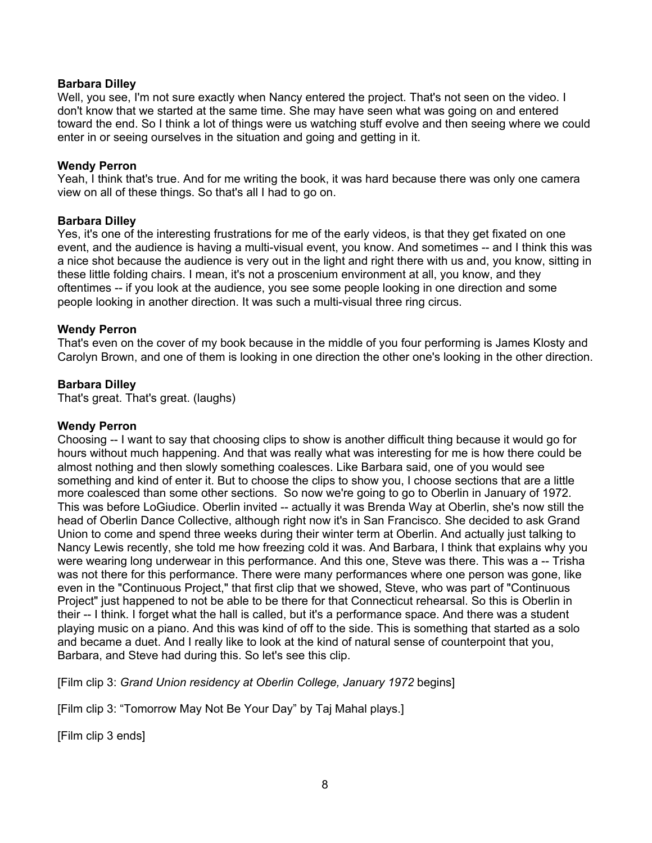## **Barbara Dilley**

Well, you see, I'm not sure exactly when Nancy entered the project. That's not seen on the video. I don't know that we started at the same time. She may have seen what was going on and entered toward the end. So I think a lot of things were us watching stuff evolve and then seeing where we could enter in or seeing ourselves in the situation and going and getting in it.

## **Wendy Perron**

Yeah, I think that's true. And for me writing the book, it was hard because there was only one camera view on all of these things. So that's all I had to go on.

## **Barbara Dilley**

Yes, it's one of the interesting frustrations for me of the early videos, is that they get fixated on one event, and the audience is having a multi-visual event, you know. And sometimes -- and I think this was a nice shot because the audience is very out in the light and right there with us and, you know, sitting in these little folding chairs. I mean, it's not a proscenium environment at all, you know, and they oftentimes -- if you look at the audience, you see some people looking in one direction and some people looking in another direction. It was such a multi-visual three ring circus.

## **Wendy Perron**

That's even on the cover of my book because in the middle of you four performing is James Klosty and Carolyn Brown, and one of them is looking in one direction the other one's looking in the other direction.

## **Barbara Dilley**

That's great. That's great. (laughs)

## **Wendy Perron**

Choosing -- I want to say that choosing clips to show is another difficult thing because it would go for hours without much happening. And that was really what was interesting for me is how there could be almost nothing and then slowly something coalesces. Like Barbara said, one of you would see something and kind of enter it. But to choose the clips to show you, I choose sections that are a little more coalesced than some other sections. So now we're going to go to Oberlin in January of 1972. This was before LoGiudice. Oberlin invited -- actually it was Brenda Way at Oberlin, she's now still the head of Oberlin Dance Collective, although right now it's in San Francisco. She decided to ask Grand Union to come and spend three weeks during their winter term at Oberlin. And actually just talking to Nancy Lewis recently, she told me how freezing cold it was. And Barbara, I think that explains why you were wearing long underwear in this performance. And this one, Steve was there. This was a -- Trisha was not there for this performance. There were many performances where one person was gone, like even in the "Continuous Project," that first clip that we showed, Steve, who was part of "Continuous Project" just happened to not be able to be there for that Connecticut rehearsal. So this is Oberlin in their -- I think. I forget what the hall is called, but it's a performance space. And there was a student playing music on a piano. And this was kind of off to the side. This is something that started as a solo and became a duet. And I really like to look at the kind of natural sense of counterpoint that you, Barbara, and Steve had during this. So let's see this clip.

[Film clip 3: *Grand Union residency at Oberlin College, January 1972* begins]

[Film clip 3: "Tomorrow May Not Be Your Day" by Taj Mahal plays.]

[Film clip 3 ends]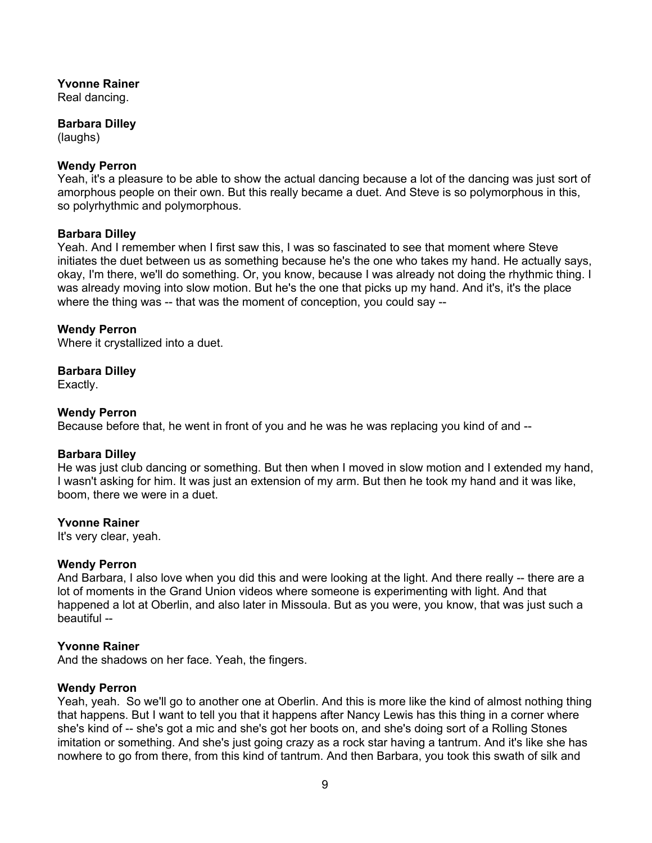Real dancing.

## **Barbara Dilley**

(laughs)

## **Wendy Perron**

Yeah, it's a pleasure to be able to show the actual dancing because a lot of the dancing was just sort of amorphous people on their own. But this really became a duet. And Steve is so polymorphous in this, so polyrhythmic and polymorphous.

## **Barbara Dilley**

Yeah. And I remember when I first saw this, I was so fascinated to see that moment where Steve initiates the duet between us as something because he's the one who takes my hand. He actually says, okay, I'm there, we'll do something. Or, you know, because I was already not doing the rhythmic thing. I was already moving into slow motion. But he's the one that picks up my hand. And it's, it's the place where the thing was -- that was the moment of conception, you could say --

## **Wendy Perron**

Where it crystallized into a duet.

## **Barbara Dilley**

Exactly.

## **Wendy Perron**

Because before that, he went in front of you and he was he was replacing you kind of and --

## **Barbara Dilley**

He was just club dancing or something. But then when I moved in slow motion and I extended my hand, I wasn't asking for him. It was just an extension of my arm. But then he took my hand and it was like, boom, there we were in a duet.

## **Yvonne Rainer**

It's very clear, yeah.

## **Wendy Perron**

And Barbara, I also love when you did this and were looking at the light. And there really -- there are a lot of moments in the Grand Union videos where someone is experimenting with light. And that happened a lot at Oberlin, and also later in Missoula. But as you were, you know, that was just such a beautiful --

## **Yvonne Rainer**

And the shadows on her face. Yeah, the fingers.

## **Wendy Perron**

Yeah, yeah. So we'll go to another one at Oberlin. And this is more like the kind of almost nothing thing that happens. But I want to tell you that it happens after Nancy Lewis has this thing in a corner where she's kind of -- she's got a mic and she's got her boots on, and she's doing sort of a Rolling Stones imitation or something. And she's just going crazy as a rock star having a tantrum. And it's like she has nowhere to go from there, from this kind of tantrum. And then Barbara, you took this swath of silk and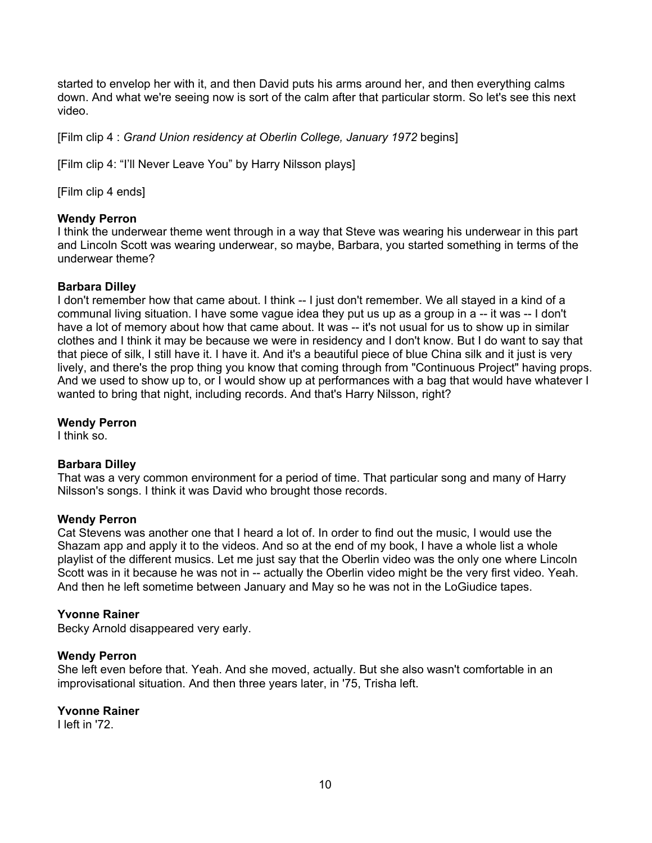started to envelop her with it, and then David puts his arms around her, and then everything calms down. And what we're seeing now is sort of the calm after that particular storm. So let's see this next video.

[Film clip 4 : *Grand Union residency at Oberlin College, January 1972* begins]

[Film clip 4: "I'll Never Leave You" by Harry Nilsson plays]

[Film clip 4 ends]

## **Wendy Perron**

I think the underwear theme went through in a way that Steve was wearing his underwear in this part and Lincoln Scott was wearing underwear, so maybe, Barbara, you started something in terms of the underwear theme?

## **Barbara Dilley**

I don't remember how that came about. I think -- I just don't remember. We all stayed in a kind of a communal living situation. I have some vague idea they put us up as a group in a -- it was -- I don't have a lot of memory about how that came about. It was -- it's not usual for us to show up in similar clothes and I think it may be because we were in residency and I don't know. But I do want to say that that piece of silk, I still have it. I have it. And it's a beautiful piece of blue China silk and it just is very lively, and there's the prop thing you know that coming through from "Continuous Project" having props. And we used to show up to, or I would show up at performances with a bag that would have whatever I wanted to bring that night, including records. And that's Harry Nilsson, right?

## **Wendy Perron**

I think so.

## **Barbara Dilley**

That was a very common environment for a period of time. That particular song and many of Harry Nilsson's songs. I think it was David who brought those records.

## **Wendy Perron**

Cat Stevens was another one that I heard a lot of. In order to find out the music, I would use the Shazam app and apply it to the videos. And so at the end of my book, I have a whole list a whole playlist of the different musics. Let me just say that the Oberlin video was the only one where Lincoln Scott was in it because he was not in -- actually the Oberlin video might be the very first video. Yeah. And then he left sometime between January and May so he was not in the LoGiudice tapes.

## **Yvonne Rainer**

Becky Arnold disappeared very early.

## **Wendy Perron**

She left even before that. Yeah. And she moved, actually. But she also wasn't comfortable in an improvisational situation. And then three years later, in '75, Trisha left.

## **Yvonne Rainer**

I left in '72.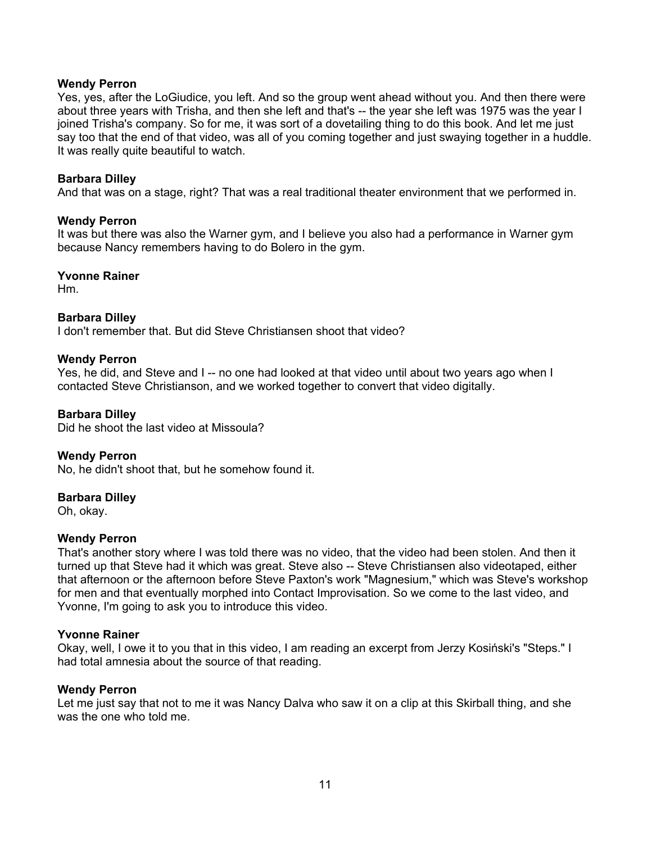Yes, yes, after the LoGiudice, you left. And so the group went ahead without you. And then there were about three years with Trisha, and then she left and that's -- the year she left was 1975 was the year I joined Trisha's company. So for me, it was sort of a dovetailing thing to do this book. And let me just say too that the end of that video, was all of you coming together and just swaying together in a huddle. It was really quite beautiful to watch.

## **Barbara Dilley**

And that was on a stage, right? That was a real traditional theater environment that we performed in.

## **Wendy Perron**

It was but there was also the Warner gym, and I believe you also had a performance in Warner gym because Nancy remembers having to do Bolero in the gym.

## **Yvonne Rainer**

Hm.

## **Barbara Dilley**

I don't remember that. But did Steve Christiansen shoot that video?

## **Wendy Perron**

Yes, he did, and Steve and I -- no one had looked at that video until about two years ago when I contacted Steve Christianson, and we worked together to convert that video digitally.

## **Barbara Dilley**

Did he shoot the last video at Missoula?

## **Wendy Perron**

No, he didn't shoot that, but he somehow found it.

## **Barbara Dilley**

Oh, okay.

## **Wendy Perron**

That's another story where I was told there was no video, that the video had been stolen. And then it turned up that Steve had it which was great. Steve also -- Steve Christiansen also videotaped, either that afternoon or the afternoon before Steve Paxton's work "Magnesium," which was Steve's workshop for men and that eventually morphed into Contact Improvisation. So we come to the last video, and Yvonne, I'm going to ask you to introduce this video.

## **Yvonne Rainer**

Okay, well, I owe it to you that in this video, I am reading an excerpt from Jerzy Kosiński's "Steps." I had total amnesia about the source of that reading.

## **Wendy Perron**

Let me just say that not to me it was Nancy Dalva who saw it on a clip at this Skirball thing, and she was the one who told me.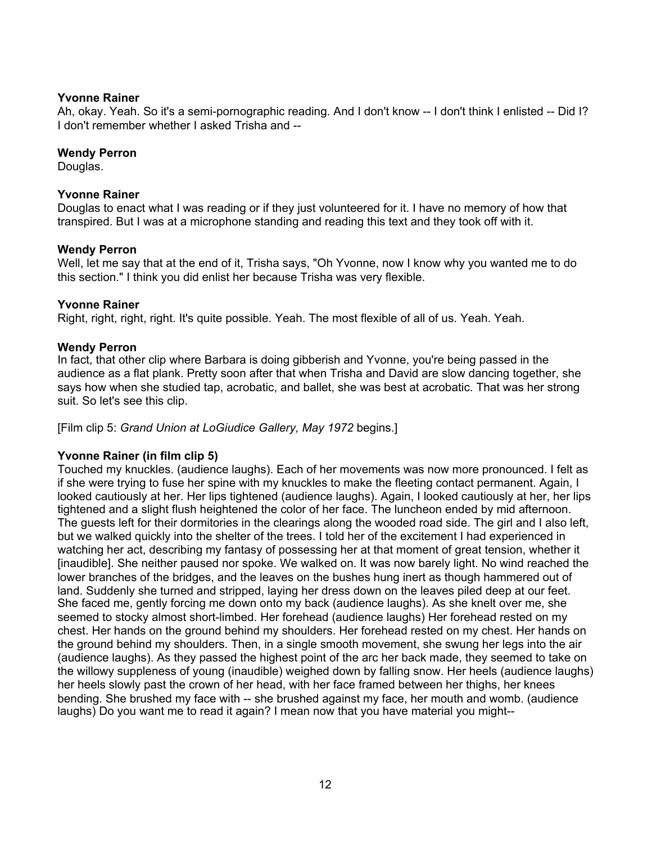Ah, okay. Yeah. So it's a semi-pornographic reading. And I don't know -- I don't think I enlisted -- Did I? I don't remember whether I asked Trisha and --

## **Wendy Perron**

Douglas.

## **Yvonne Rainer**

Douglas to enact what I was reading or if they just volunteered for it. I have no memory of how that transpired. But I was at a microphone standing and reading this text and they took off with it.

## **Wendy Perron**

Well, let me say that at the end of it, Trisha says, "Oh Yvonne, now I know why you wanted me to do this section." I think you did enlist her because Trisha was very flexible.

## **Yvonne Rainer**

Right, right, right, right. It's quite possible. Yeah. The most flexible of all of us. Yeah. Yeah.

## **Wendy Perron**

In fact, that other clip where Barbara is doing gibberish and Yvonne, you're being passed in the audience as a flat plank. Pretty soon after that when Trisha and David are slow dancing together, she says how when she studied tap, acrobatic, and ballet, she was best at acrobatic. That was her strong suit. So let's see this clip.

[Film clip 5: *Grand Union at LoGiudice Gallery, May 1972* begins.]

## **Yvonne Rainer (in film clip 5)**

Touched my knuckles. (audience laughs). Each of her movements was now more pronounced. I felt as if she were trying to fuse her spine with my knuckles to make the fleeting contact permanent. Again, I looked cautiously at her. Her lips tightened (audience laughs). Again, I looked cautiously at her, her lips tightened and a slight flush heightened the color of her face. The luncheon ended by mid afternoon. The guests left for their dormitories in the clearings along the wooded road side. The girl and I also left, but we walked quickly into the shelter of the trees. I told her of the excitement I had experienced in watching her act, describing my fantasy of possessing her at that moment of great tension, whether it [inaudible]. She neither paused nor spoke. We walked on. It was now barely light. No wind reached the lower branches of the bridges, and the leaves on the bushes hung inert as though hammered out of land. Suddenly she turned and stripped, laying her dress down on the leaves piled deep at our feet. She faced me, gently forcing me down onto my back (audience laughs). As she knelt over me, she seemed to stocky almost short-limbed. Her forehead (audience laughs) Her forehead rested on my chest. Her hands on the ground behind my shoulders. Her forehead rested on my chest. Her hands on the ground behind my shoulders. Then, in a single smooth movement, she swung her legs into the air (audience laughs). As they passed the highest point of the arc her back made, they seemed to take on the willowy suppleness of young (inaudible) weighed down by falling snow. Her heels (audience laughs) her heels slowly past the crown of her head, with her face framed between her thighs, her knees bending. She brushed my face with -- she brushed against my face, her mouth and womb. (audience laughs) Do you want me to read it again? I mean now that you have material you might--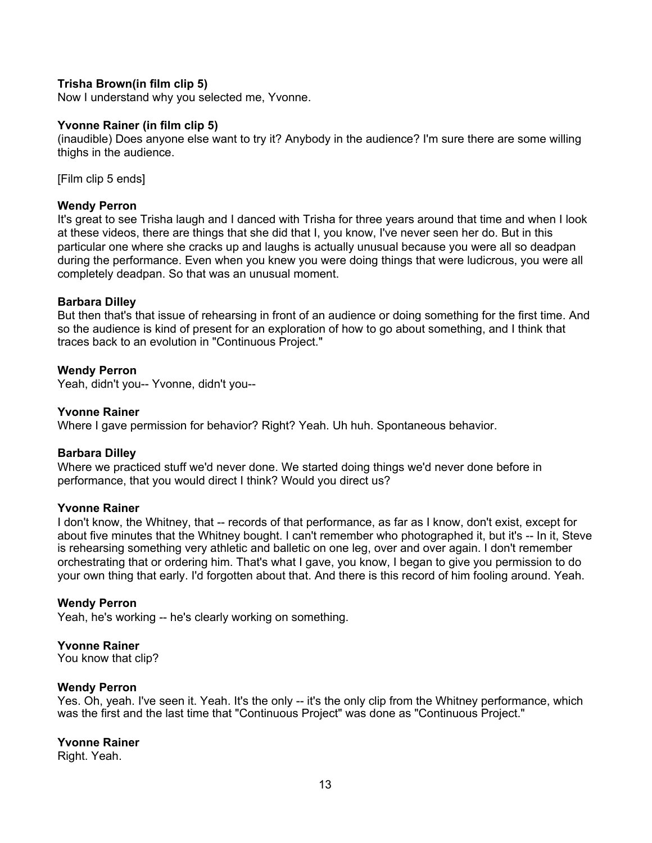## **Trisha Brown(in film clip 5)**

Now I understand why you selected me, Yvonne.

#### **Yvonne Rainer (in film clip 5)**

(inaudible) Does anyone else want to try it? Anybody in the audience? I'm sure there are some willing thighs in the audience.

[Film clip 5 ends]

## **Wendy Perron**

It's great to see Trisha laugh and I danced with Trisha for three years around that time and when I look at these videos, there are things that she did that I, you know, I've never seen her do. But in this particular one where she cracks up and laughs is actually unusual because you were all so deadpan during the performance. Even when you knew you were doing things that were ludicrous, you were all completely deadpan. So that was an unusual moment.

#### **Barbara Dilley**

But then that's that issue of rehearsing in front of an audience or doing something for the first time. And so the audience is kind of present for an exploration of how to go about something, and I think that traces back to an evolution in "Continuous Project."

#### **Wendy Perron**

Yeah, didn't you-- Yvonne, didn't you--

#### **Yvonne Rainer**

Where I gave permission for behavior? Right? Yeah. Uh huh. Spontaneous behavior.

#### **Barbara Dilley**

Where we practiced stuff we'd never done. We started doing things we'd never done before in performance, that you would direct I think? Would you direct us?

## **Yvonne Rainer**

I don't know, the Whitney, that -- records of that performance, as far as I know, don't exist, except for about five minutes that the Whitney bought. I can't remember who photographed it, but it's -- In it, Steve is rehearsing something very athletic and balletic on one leg, over and over again. I don't remember orchestrating that or ordering him. That's what I gave, you know, I began to give you permission to do your own thing that early. I'd forgotten about that. And there is this record of him fooling around. Yeah.

## **Wendy Perron**

Yeah, he's working -- he's clearly working on something.

#### **Yvonne Rainer**

You know that clip?

#### **Wendy Perron**

Yes. Oh, yeah. I've seen it. Yeah. It's the only -- it's the only clip from the Whitney performance, which was the first and the last time that "Continuous Project" was done as "Continuous Project."

#### **Yvonne Rainer**

Right. Yeah.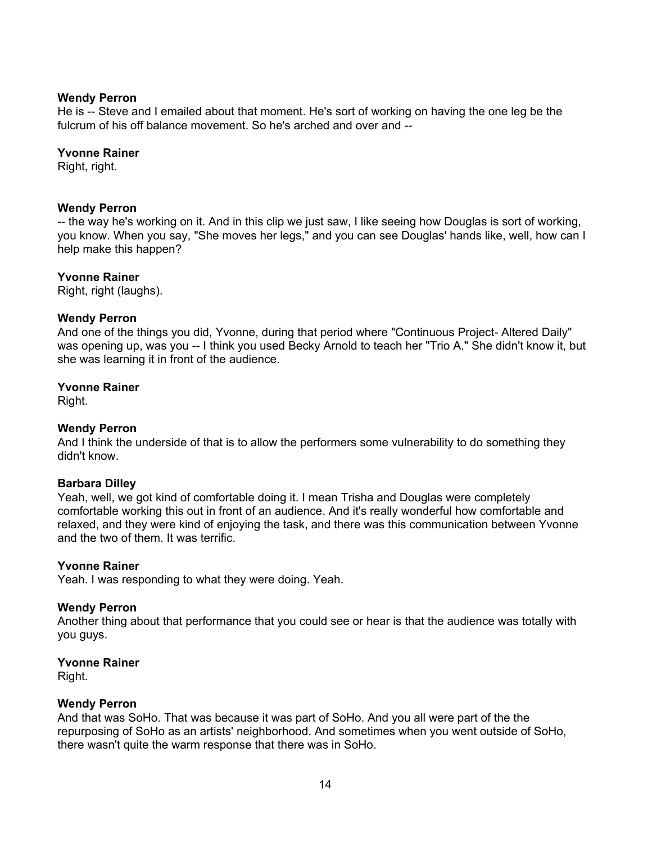He is -- Steve and I emailed about that moment. He's sort of working on having the one leg be the fulcrum of his off balance movement. So he's arched and over and --

## **Yvonne Rainer**

Right, right.

## **Wendy Perron**

-- the way he's working on it. And in this clip we just saw, I like seeing how Douglas is sort of working, you know. When you say, "She moves her legs," and you can see Douglas' hands like, well, how can I help make this happen?

## **Yvonne Rainer**

Right, right (laughs).

## **Wendy Perron**

And one of the things you did, Yvonne, during that period where "Continuous Project- Altered Daily" was opening up, was you -- I think you used Becky Arnold to teach her "Trio A." She didn't know it, but she was learning it in front of the audience.

## **Yvonne Rainer**

Right.

## **Wendy Perron**

And I think the underside of that is to allow the performers some vulnerability to do something they didn't know.

## **Barbara Dilley**

Yeah, well, we got kind of comfortable doing it. I mean Trisha and Douglas were completely comfortable working this out in front of an audience. And it's really wonderful how comfortable and relaxed, and they were kind of enjoying the task, and there was this communication between Yvonne and the two of them. It was terrific.

## **Yvonne Rainer**

Yeah. I was responding to what they were doing. Yeah.

## **Wendy Perron**

Another thing about that performance that you could see or hear is that the audience was totally with you guys.

## **Yvonne Rainer**

Right.

## **Wendy Perron**

And that was SoHo. That was because it was part of SoHo. And you all were part of the the repurposing of SoHo as an artists' neighborhood. And sometimes when you went outside of SoHo, there wasn't quite the warm response that there was in SoHo.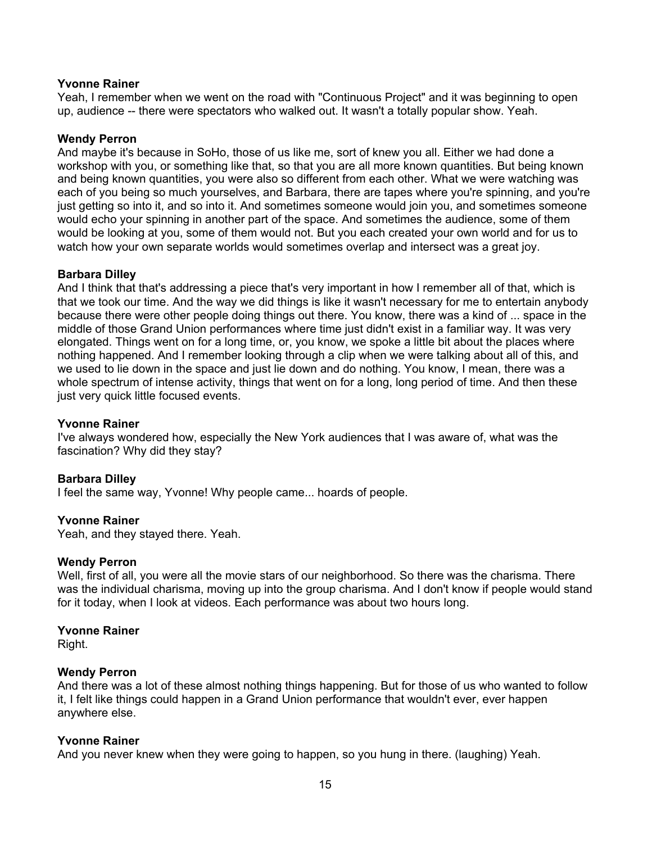Yeah, I remember when we went on the road with "Continuous Project" and it was beginning to open up, audience -- there were spectators who walked out. It wasn't a totally popular show. Yeah.

## **Wendy Perron**

And maybe it's because in SoHo, those of us like me, sort of knew you all. Either we had done a workshop with you, or something like that, so that you are all more known quantities. But being known and being known quantities, you were also so different from each other. What we were watching was each of you being so much yourselves, and Barbara, there are tapes where you're spinning, and you're just getting so into it, and so into it. And sometimes someone would join you, and sometimes someone would echo your spinning in another part of the space. And sometimes the audience, some of them would be looking at you, some of them would not. But you each created your own world and for us to watch how your own separate worlds would sometimes overlap and intersect was a great joy.

## **Barbara Dilley**

And I think that that's addressing a piece that's very important in how I remember all of that, which is that we took our time. And the way we did things is like it wasn't necessary for me to entertain anybody because there were other people doing things out there. You know, there was a kind of ... space in the middle of those Grand Union performances where time just didn't exist in a familiar way. It was very elongated. Things went on for a long time, or, you know, we spoke a little bit about the places where nothing happened. And I remember looking through a clip when we were talking about all of this, and we used to lie down in the space and just lie down and do nothing. You know, I mean, there was a whole spectrum of intense activity, things that went on for a long, long period of time. And then these just very quick little focused events.

## **Yvonne Rainer**

I've always wondered how, especially the New York audiences that I was aware of, what was the fascination? Why did they stay?

## **Barbara Dilley**

I feel the same way, Yvonne! Why people came... hoards of people.

## **Yvonne Rainer**

Yeah, and they stayed there. Yeah.

## **Wendy Perron**

Well, first of all, you were all the movie stars of our neighborhood. So there was the charisma. There was the individual charisma, moving up into the group charisma. And I don't know if people would stand for it today, when I look at videos. Each performance was about two hours long.

#### **Yvonne Rainer**

Right.

## **Wendy Perron**

And there was a lot of these almost nothing things happening. But for those of us who wanted to follow it, I felt like things could happen in a Grand Union performance that wouldn't ever, ever happen anywhere else.

## **Yvonne Rainer**

And you never knew when they were going to happen, so you hung in there. (laughing) Yeah.